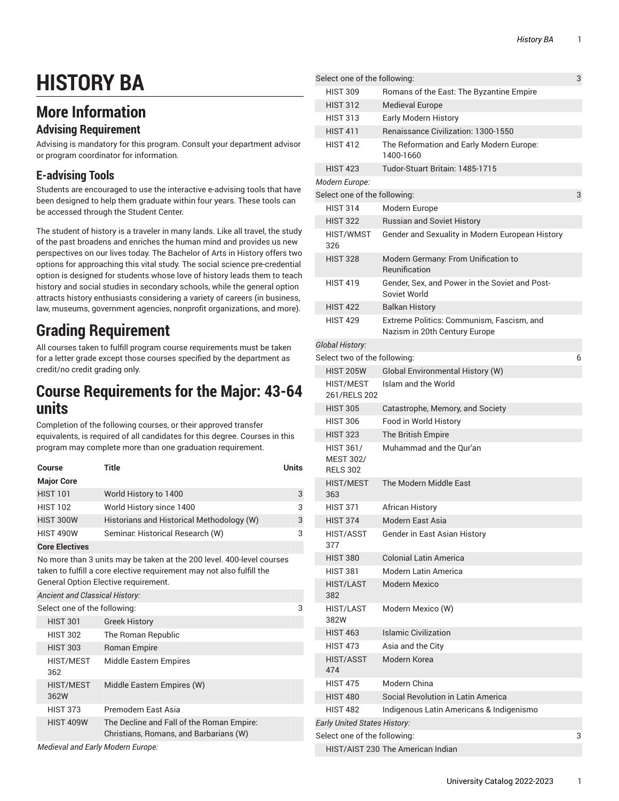# **HISTORY BA**

### **More Information**

#### **Advising Requirement**

Advising is mandatory for this program. Consult your department advisor or program coordinator for information.

#### **E-advising Tools**

Students are encouraged to use the interactive e-advising tools that have been designed to help them graduate within four years. These tools can be accessed through the Student Center.

The student of history is a traveler in many lands. Like all travel, the study of the past broadens and enriches the human mind and provides us new perspectives on our lives today. The Bachelor of Arts in History offers two options for approaching this vital study. The social science pre-credential option is designed for students whose love of history leads them to teach history and social studies in secondary schools, while the general option attracts history enthusiasts considering a variety of careers (in business, law, museums, government agencies, nonprofit organizations, and more).

# **Grading Requirement**

All courses taken to fulfill program course requirements must be taken for a letter grade except those courses specified by the department as credit/no credit grading only.

#### **Course Requirements for the Major: 43-64 units**

Completion of the following courses, or their approved transfer equivalents, is required of all candidates for this degree. Courses in this program may complete more than one graduation requirement.

| Course<br><b>Major Core</b>    | Title                                                                                                                                                                                  | Units |
|--------------------------------|----------------------------------------------------------------------------------------------------------------------------------------------------------------------------------------|-------|
| <b>HIST 101</b>                | World History to 1400                                                                                                                                                                  | 3     |
| <b>HIST 102</b>                | World History since 1400                                                                                                                                                               | 3     |
| <b>HIST 300W</b>               | Historians and Historical Methodology (W)                                                                                                                                              | 3     |
| <b>HIST 490W</b>               | Seminar: Historical Research (W)                                                                                                                                                       | 3     |
| <b>Core Electives</b>          |                                                                                                                                                                                        |       |
|                                | No more than 3 units may be taken at the 200 level. 400-level courses<br>taken to fulfill a core elective requirement may not also fulfill the<br>General Option Elective requirement. |       |
| Ancient and Classical History: |                                                                                                                                                                                        |       |
| Select one of the following:   |                                                                                                                                                                                        | 3     |
| <b>HIST 301</b>                | <b>Greek History</b>                                                                                                                                                                   |       |
| <b>HIST 302</b>                | The Roman Republic                                                                                                                                                                     |       |
| <b>HIST 303</b>                | Roman Empire                                                                                                                                                                           |       |
| <b>HIST/MEST</b><br>362        | <b>Middle Eastern Empires</b>                                                                                                                                                          |       |
| <b>HIST/MEST</b><br>362W       | Middle Eastern Empires (W)                                                                                                                                                             |       |
| <b>HIST 373</b>                | Premodern East Asia                                                                                                                                                                    |       |
| <b>HIST 409W</b>               | The Decline and Fall of the Roman Empire:<br>Christians, Romans, and Barbarians (W)                                                                                                    |       |

*Medieval and Early Modern Europe:*

| Select one of the following:                            |                                                                            | 3 |
|---------------------------------------------------------|----------------------------------------------------------------------------|---|
| <b>HIST 309</b>                                         | Romans of the East: The Byzantine Empire                                   |   |
| <b>HIST 312</b>                                         | <b>Medieval Europe</b>                                                     |   |
| <b>HIST 313</b>                                         | Early Modern History                                                       |   |
| <b>HIST 411</b>                                         | Renaissance Civilization: 1300-1550                                        |   |
| <b>HIST 412</b>                                         | The Reformation and Early Modern Europe:<br>1400-1660                      |   |
| <b>HIST 423</b>                                         | Tudor-Stuart Britain: 1485-1715                                            |   |
| Modern Europe:                                          |                                                                            |   |
| Select one of the following:                            |                                                                            | 3 |
| <b>HIST 314</b>                                         | Modern Europe                                                              |   |
| <b>HIST 322</b>                                         | <b>Russian and Soviet History</b>                                          |   |
| HIST/WMST<br>326                                        | Gender and Sexuality in Modern European History                            |   |
| <b>HIST 328</b>                                         | Modern Germany: From Unification to<br>Reunification                       |   |
| <b>HIST 419</b>                                         | Gender, Sex, and Power in the Soviet and Post-<br>Soviet World             |   |
| <b>HIST 422</b>                                         | <b>Balkan History</b>                                                      |   |
| <b>HIST 429</b>                                         | Extreme Politics: Communism, Fascism, and<br>Nazism in 20th Century Europe |   |
| Global History:                                         |                                                                            |   |
| Select two of the following:                            |                                                                            | 6 |
| <b>HIST 205W</b>                                        | Global Environmental History (W)                                           |   |
| <b>HIST/MEST</b><br>261/RELS 202                        | Islam and the World                                                        |   |
| <b>HIST 305</b>                                         | Catastrophe, Memory, and Society                                           |   |
| <b>HIST 306</b>                                         | Food in World History                                                      |   |
| <b>HIST 323</b>                                         | The British Empire                                                         |   |
| <b>HIST 361/</b><br><b>MEST 302/</b><br><b>RELS 302</b> | Muhammad and the Our'an                                                    |   |
| <b>HIST/MEST</b><br>363                                 | The Modern Middle East                                                     |   |
| <b>HIST 371</b>                                         | African History                                                            |   |
| <b>HIST 374</b>                                         | Modern East Asia                                                           |   |
| HIST/ASST<br>377                                        | Gender in East Asian History                                               |   |
| <b>HIST 380</b>                                         | <b>Colonial Latin America</b>                                              |   |
| <b>HIST 381</b>                                         | Modern Latin America                                                       |   |
| <b>HIST/LAST</b><br>382                                 | <b>Modern Mexico</b>                                                       |   |
| HIST/LAST<br>382W                                       | Modern Mexico (W)                                                          |   |
| <b>HIST 463</b>                                         | <b>Islamic Civilization</b>                                                |   |
| <b>HIST 473</b>                                         | Asia and the City                                                          |   |
| <b>HIST/ASST</b><br>474                                 | Modern Korea                                                               |   |
| <b>HIST 475</b>                                         | Modern China                                                               |   |
| <b>HIST 480</b>                                         | Social Revolution in Latin America                                         |   |
| <b>HIST 482</b>                                         | Indigenous Latin Americans & Indigenismo                                   |   |
| <b>Early United States History:</b>                     |                                                                            |   |
| Select one of the following:                            |                                                                            | 3 |
| HIST/AIST 230 The American Indian                       |                                                                            |   |
|                                                         |                                                                            |   |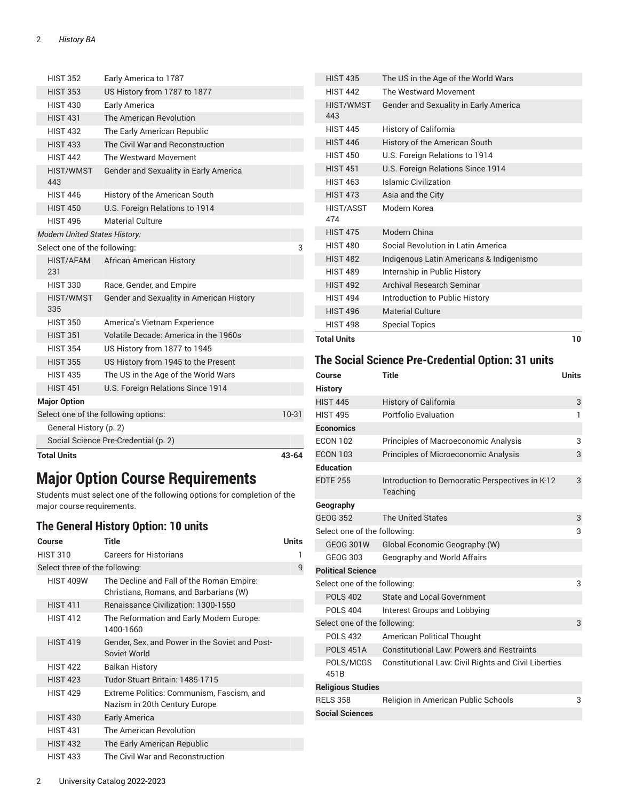| <b>Total Units</b>                   |                                          | 43-64 |
|--------------------------------------|------------------------------------------|-------|
|                                      | Social Science Pre-Credential (p. 2)     |       |
| General History (p. 2)               |                                          |       |
|                                      | Select one of the following options:     | 10-31 |
| <b>Major Option</b>                  |                                          |       |
| <b>HIST 451</b>                      | U.S. Foreign Relations Since 1914        |       |
| <b>HIST 435</b>                      | The US in the Age of the World Wars      |       |
| <b>HIST 355</b>                      | US History from 1945 to the Present      |       |
| <b>HIST 354</b>                      | US History from 1877 to 1945             |       |
| <b>HIST 351</b>                      | Volatile Decade: America in the 1960s    |       |
| <b>HIST 350</b>                      | America's Vietnam Experience             |       |
| <b>HIST/WMST</b><br>335              | Gender and Sexuality in American History |       |
| <b>HIST 330</b>                      | Race, Gender, and Empire                 |       |
| HIST/AFAM<br>231                     | <b>African American History</b>          |       |
| Select one of the following:         |                                          | 3     |
| <b>Modern United States History:</b> |                                          |       |
| <b>HIST 496</b>                      | <b>Material Culture</b>                  |       |
| <b>HIST 450</b>                      | U.S. Foreign Relations to 1914           |       |
| <b>HIST 446</b>                      | History of the American South            |       |
| <b>HIST/WMST</b><br>443              | Gender and Sexuality in Early America    |       |
| <b>HIST 442</b>                      | The Westward Movement                    |       |
| <b>HIST 433</b>                      | The Civil War and Reconstruction         |       |
| <b>HIST 432</b>                      | The Early American Republic              |       |
| <b>HIST 431</b>                      | The American Revolution                  |       |
| <b>HIST 430</b>                      | Early America                            |       |
| <b>HIST 353</b>                      | US History from 1787 to 1877             |       |
| <b>HIST 352</b>                      | Early America to 1787                    |       |

# **Major Option Course Requirements**

Students must select one of the following options for completion of the major course requirements.

#### <span id="page-1-0"></span>**The General History Option: 10 units**

| Course                         | Title                                                                               | Units |
|--------------------------------|-------------------------------------------------------------------------------------|-------|
| <b>HIST 310</b>                | <b>Careers for Historians</b>                                                       | 1     |
| Select three of the following: |                                                                                     | 9     |
| <b>HIST 409W</b>               | The Decline and Fall of the Roman Empire:<br>Christians, Romans, and Barbarians (W) |       |
| <b>HIST 411</b>                | Renaissance Civilization: 1300-1550                                                 |       |
| <b>HIST 412</b>                | The Reformation and Early Modern Europe:<br>1400-1660                               |       |
| <b>HIST 419</b>                | Gender, Sex, and Power in the Soviet and Post-<br>Soviet World                      |       |
| <b>HIST 422</b>                | Balkan History                                                                      |       |
| <b>HIST 423</b>                | Tudor-Stuart Britain: 1485-1715                                                     |       |
| <b>HIST 429</b>                | Extreme Politics: Communism, Fascism, and<br>Nazism in 20th Century Europe          |       |
| <b>HIST 430</b>                | Early America                                                                       |       |
| <b>HIST 431</b>                | The American Revolution                                                             |       |
| <b>HIST 432</b>                | The Early American Republic                                                         |       |
| <b>HIST 433</b>                | The Civil War and Reconstruction                                                    |       |

| <b>Total Units</b>      |                                          | 10 |
|-------------------------|------------------------------------------|----|
| <b>HIST 498</b>         | <b>Special Topics</b>                    |    |
| <b>HIST 496</b>         | <b>Material Culture</b>                  |    |
| <b>HIST 494</b>         | Introduction to Public History           |    |
| <b>HIST 492</b>         | Archival Research Seminar                |    |
| <b>HIST 489</b>         | Internship in Public History             |    |
| <b>HIST 482</b>         | Indigenous Latin Americans & Indigenismo |    |
| <b>HIST 480</b>         | Social Revolution in Latin America       |    |
| <b>HIST 475</b>         | Modern China                             |    |
| <b>HIST/ASST</b><br>474 | Modern Korea                             |    |
| <b>HIST 473</b>         | Asia and the City                        |    |
| <b>HIST 463</b>         | Islamic Civilization                     |    |
| <b>HIST 451</b>         | U.S. Foreign Relations Since 1914        |    |
| <b>HIST 450</b>         | U.S. Foreign Relations to 1914           |    |
| <b>HIST 446</b>         | History of the American South            |    |
| <b>HIST 445</b>         | History of California                    |    |
| HIST/WMST<br>443        | Gender and Sexuality in Early America    |    |
| <b>HIST 442</b>         | The Westward Movement                    |    |
| <b>HIST 435</b>         | The US in the Age of the World Wars      |    |
|                         |                                          |    |

#### <span id="page-1-1"></span>**The Social Science Pre-Credential Option: 31 units**

| Course                        | Title                                                       | Units |
|-------------------------------|-------------------------------------------------------------|-------|
| <b>History</b>                |                                                             |       |
| <b>HIST 445</b>               | <b>History of California</b>                                | 3     |
| <b>HIST 495</b>               | Portfolio Evaluation                                        | 1     |
| <b>Economics</b>              |                                                             |       |
| <b>ECON 102</b>               | Principles of Macroeconomic Analysis                        | 3     |
| <b>ECON 103</b>               | Principles of Microeconomic Analysis                        | 3     |
| <b>Education</b>              |                                                             |       |
| <b>EDTE 255</b>               | Introduction to Democratic Perspectives in K-12<br>Teaching | 3     |
| Geography                     |                                                             |       |
| <b>GEOG 352</b>               | <b>The United States</b>                                    | 3     |
| Select one of the following:  |                                                             |       |
| <b>GEOG 301W</b>              | Global Economic Geography (W)                               |       |
| GEOG 303                      | Geography and World Affairs                                 |       |
| <b>Political Science</b>      |                                                             |       |
| Select one of the following:  |                                                             | 3     |
| <b>POLS 402</b>               | State and Local Government                                  |       |
| <b>POLS 404</b>               | Interest Groups and Lobbying                                |       |
| Select one of the following:  |                                                             | 3     |
| <b>POLS 432</b>               | American Political Thought                                  |       |
| <b>POLS 451A</b>              | <b>Constitutional Law: Powers and Restraints</b>            |       |
| POLS/MCGS<br>451 <sub>B</sub> | Constitutional Law: Civil Rights and Civil Liberties        |       |
| <b>Religious Studies</b>      |                                                             |       |
| <b>RELS 358</b>               | Religion in American Public Schools                         | 3     |
| <b>Social Sciences</b>        |                                                             |       |
|                               |                                                             |       |